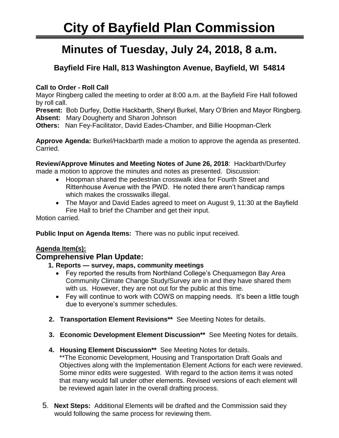# **City of Bayfield Plan Commission**

## **Minutes of Tuesday, July 24, 2018, 8 a.m.**

### **Bayfield Fire Hall, 813 Washington Avenue, Bayfield, WI 54814**

#### **Call to Order - Roll Call**

Mayor Ringberg called the meeting to order at 8:00 a.m. at the Bayfield Fire Hall followed by roll call.

**Present:** Bob Durfey, Dottie Hackbarth, Sheryl Burkel, Mary O'Brien and Mayor Ringberg. **Absent:** Mary Dougherty and Sharon Johnson

**Others:** Nan Fey-Facilitator, David Eades-Chamber, and Billie Hoopman-Clerk

**Approve Agenda:** Burkel/Hackbarth made a motion to approve the agenda as presented. Carried.

**Review/Approve Minutes and Meeting Notes of June 26, 2018**: Hackbarth/Durfey

made a motion to approve the minutes and notes as presented. Discussion:

- Hoopman shared the pedestrian crosswalk idea for Fourth Street and Rittenhouse Avenue with the PWD. He noted there aren't handicap ramps which makes the crosswalks illegal.
- The Mayor and David Eades agreed to meet on August 9, 11:30 at the Bayfield Fire Hall to brief the Chamber and get their input.

Motion carried.

**Public Input on Agenda Items:** There was no public input received.

#### **Agenda Item(s):**

#### **Comprehensive Plan Update:**

#### **1. Reports — survey, maps, community meetings**

- Fey reported the results from Northland College's Chequamegon Bay Area Community Climate Change Study/Survey are in and they have shared them with us. However, they are not out for the public at this time.
- Fey will continue to work with COWS on mapping needs. It's been a little tough due to everyone's summer schedules.
- **2. Transportation Element Revisions\*\*** See Meeting Notes for details.
- **3. Economic Development Element Discussion\*\*** See Meeting Notes for details.
- **4. Housing Element Discussion\*\*** See Meeting Notes for details.

\*\*The Economic Development, Housing and Transportation Draft Goals and Objectives along with the Implementation Element Actions for each were reviewed. Some minor edits were suggested. With regard to the action items it was noted that many would fall under other elements. Revised versions of each element will be reviewed again later in the overall drafting process.

 5. **Next Steps:** Additional Elements will be drafted and the Commission said they would following the same process for reviewing them.